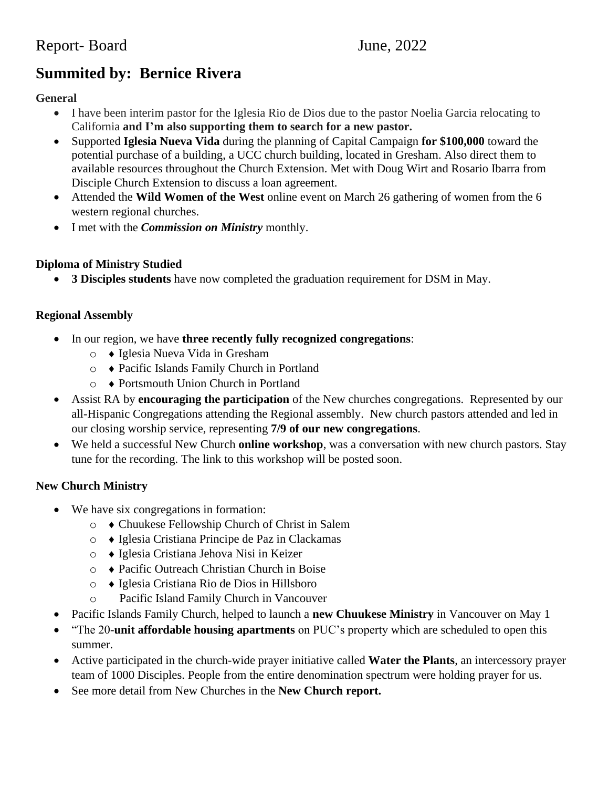# **Summited by: Bernice Rivera**

# **General**

- I have been interim pastor for the Iglesia Rio de Dios due to the pastor Noelia Garcia relocating to California **and I'm also supporting them to search for a new pastor.**
- Supported **Iglesia Nueva Vida** during the planning of Capital Campaign **for \$100,000** toward the potential purchase of a building, a UCC church building, located in Gresham. Also direct them to available resources throughout the Church Extension. Met with Doug Wirt and Rosario Ibarra from Disciple Church Extension to discuss a loan agreement.
- Attended the **Wild Women of the West** online event on March 26 gathering of women from the 6 western regional churches.
- I met with the *Commission on Ministry* monthly.

# **Diploma of Ministry Studied**

• **3 Disciples students** have now completed the graduation requirement for DSM in May.

# **Regional Assembly**

- In our region, we have **three recently fully recognized congregations**:
	- o Iglesia Nueva Vida in Gresham
	- o Pacific Islands Family Church in Portland
	- o Portsmouth Union Church in Portland
- Assist RA by **encouraging the participation** of the New churches congregations. Represented by our all-Hispanic Congregations attending the Regional assembly. New church pastors attended and led in our closing worship service, representing **7/9 of our new congregations**.
- We held a successful New Church **online workshop**, was a conversation with new church pastors. Stay tune for the recording. The link to this workshop will be posted soon.

## **New Church Ministry**

- We have six congregations in formation:
	- o Chuukese Fellowship Church of Christ in Salem
	- o Iglesia Cristiana Principe de Paz in Clackamas
	- o Iglesia Cristiana Jehova Nisi in Keizer
	- o Pacific Outreach Christian Church in Boise
	- o Iglesia Cristiana Rio de Dios in Hillsboro
	- o Pacific Island Family Church in Vancouver
- Pacific Islands Family Church, helped to launch a **new Chuukese Ministry** in Vancouver on May 1
- "The 20-**unit affordable housing apartments** on PUC's property which are scheduled to open this summer.
- Active participated in the church-wide prayer initiative called **Water the Plants**, an intercessory prayer team of 1000 Disciples. People from the entire denomination spectrum were holding prayer for us.
- See more detail from New Churches in the **New Church report.**